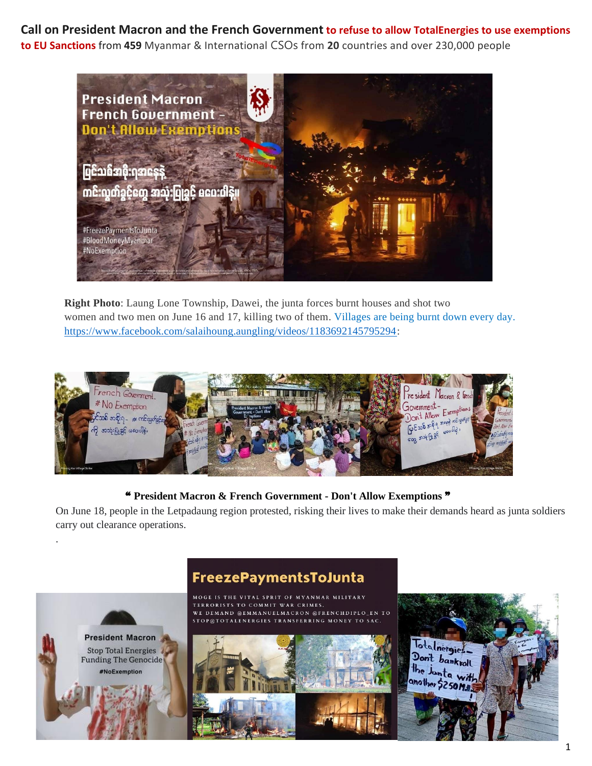**Call on President Macron and the French Government to refuse to allow TotalEnergies to use exemptions to EU Sanctions** from **459** Myanmar & International CSOs from **20** countries and over 230,000 people



**Right Photo**: Laung Lone Township, Dawei, the junta forces burnt houses and shot two women and two men on June 16 and 17, killing two of them. Villages are being burnt down every day. [https://www.facebook.com/salaihoung.aungling/videos/1183692145795294:](https://www.facebook.com/salaihoung.aungling/videos/1183692145795294)



## ❝ **President Macron & French Government - Don't Allow Exemptions** ❞

On June 18, people in the Letpadaung region protested, risking their lives to make their demands heard as junta soldiers carry out clearance operations.

## FreezePaymentsToJunta

**President Macron** Stop Total Energies **Funding The Genocide** #NoExemption

.

MOGE IS THE VITAL SPRIT OF MYANMAR MILITARY TERRORISTS TO COMMIT WAR CRIMES. WE DEMAND @EMMANUELMACRON @FRENCHDIPLO\_EN TO STOP@TOTALENERGIES TRANSFERRING MONEY TO SAC